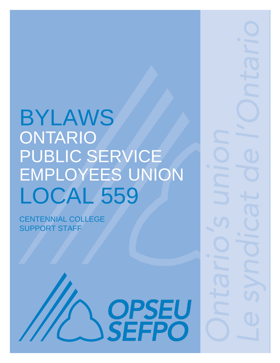# BYLAWS ONTARIO PUBLIC SERVICE EMPLOYEES UNION LOCAL 559

**OPSEU<br>SEFPO** 

CENTENNIAL COLLEGE SUPPORT STAFF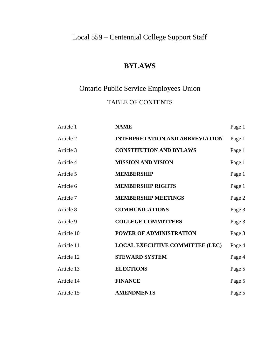Local 559 – Centennial College Support Staff

# **BYLAWS**

# Ontario Public Service Employees Union

# TABLE OF CONTENTS

| Article 1  | <b>NAME</b>                            | Page 1 |
|------------|----------------------------------------|--------|
| Article 2  | <b>INTERPRETATION AND ABBREVIATION</b> | Page 1 |
| Article 3  | <b>CONSTITUTION AND BYLAWS</b>         | Page 1 |
| Article 4  | <b>MISSION AND VISION</b>              | Page 1 |
| Article 5  | <b>MEMBERSHIP</b>                      | Page 1 |
| Article 6  | <b>MEMBERSHIP RIGHTS</b>               | Page 1 |
| Article 7  | <b>MEMBERSHIP MEETINGS</b>             | Page 2 |
| Article 8  | <b>COMMUNICATIONS</b>                  | Page 3 |
| Article 9  | <b>COLLEGE COMMITTEES</b>              | Page 3 |
| Article 10 | POWER OF ADMINISTRATION                | Page 3 |
| Article 11 | <b>LOCAL EXECUTIVE COMMITTEE (LEC)</b> | Page 4 |
| Article 12 | <b>STEWARD SYSTEM</b>                  | Page 4 |
| Article 13 | <b>ELECTIONS</b>                       | Page 5 |
| Article 14 | <b>FINANCE</b>                         | Page 5 |
| Article 15 | <b>AMENDMENTS</b>                      | Page 5 |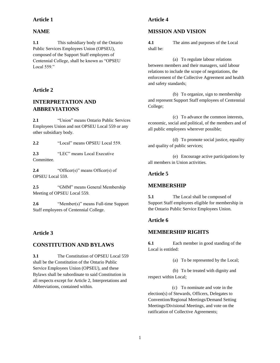# **Article 1**

# **NAME**

**1.1** This subsidiary body of the Ontario Public Services Employees Union (OPSEU), composed of the Support Staff employees of Centennial College, shall be known as "OPSEU Local 559."

# **Article 2**

# **INTERPRETATION AND ABBREVIATIONS**

2.1 "Union" means Ontario Public Services Employees Union and not OPSEU Local 559 or any other subsidiary body.

**2.2** "Local" means OPSEU Local 559.

**2.3** "LEC" means Local Executive Committee.

**2.4** "Officer(s)" means Officer(s) of OPSEU Local 559.

**2.5** "GMM" means General Membership Meeting of OPSEU Local 559.

**2.6** "Member(s)" means Full-time Support Staff employees of Centennial College.

# **Article 3**

# **CONSTITUTION AND BYLAWS**

**3.1** The Constitution of OPSEU Local 559 shall be the Constitution of the Ontario Public Service Employees Union (OPSEU), and these Bylaws shall be subordinate to said Constitution in all respects except for Article 2, Interpretations and Abbreviations, contained within.

# **Article 4**

## **MISSION AND VISION**

**4.1** The aims and purposes of the Local shall be:

(a) To regulate labour relations between members and their managers, said labour relations to include the scope of negotiations, the enforcement of the Collective Agreement and health and safety standards;

(b) To organize, sign to membership and represent Support Staff employees of Centennial College;

(c) To advance the common interests, economic, social and political, of the members and of all public employees wherever possible;

(d) To promote social justice, equality and quality of public services;

(e) Encourage active participations by all members in Union activities.

## **Article 5**

## **MEMBERSHIP**

**5.1** The Local shall be composed of Support Staff employees eligible for membership in the Ontario Public Service Employees Union.

# **Article 6**

# **MEMBERSHIP RIGHTS**

**6.1** Each member in good standing of the Local is entitled:

(a) To be represented by the Local;

(b) To be treated with dignity and respect within Local;

 (c) To nominate and vote in the election(s) of Stewards, Officers, Delegates to Convention/Regional Meetings/Demand Setting Meetings/Divisional Meetings, and vote on the ratification of Collective Agreements;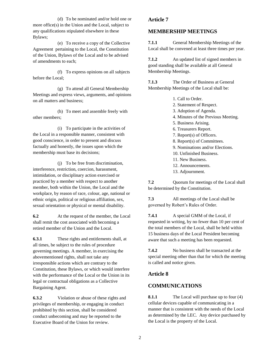(d) To be nominated and/or hold one or more office(s) in the Union and the Local, subject to any qualifications stipulated elsewhere in these Bylaws;

(e) To receive a copy of the Collective Agreement pertaining to the Local, the Constitution of the Union, Bylaws of the Local and to be advised of amendments to each;

(f) To express opinions on all subjects before the Local;

(g) To attend all General Membership Meetings and express views, arguments, and opinions on all matters and business;

(h) To meet and assemble freely with other members;

(i) To participate in the activities of the Local in a responsible manner, consistent with good conscience, in order to present and discuss factually and honestly, the issues upon which the membership must base its decisions;

(j) To be free from discrimination, interference, restriction, coercion, harassment, intimidation, or disciplinary action exercised or practiced by a member with respect to another member, both within the Union, the Local and the workplace, by reason of race, colour, age, national or ethnic origin, political or religious affiliation, sex, sexual orientation or physical or mental disability.

**6.2** At the request of the member, the Local shall remit the cost associated with becoming a retired member of the Union and the Local.

**6.3.1** These rights and entitlements shall, at all times, be subject to the rules of procedure governing meetings. A member, in exercising the abovementioned rights, shall not take any irresponsible actions which are contrary to the Constitution, these Bylaws, or which would interfere with the performance of the Local or the Union in its legal or contractual obligations as a Collective Bargaining Agent.

**6.3.2** Violation or abuse of these rights and privileges of membership, or engaging in conduct prohibited by this section, shall be considered conduct unbecoming and may be reported to the Executive Board of the Union for review.

# **Article 7**

# **MEMBERSHIP MEETINGS**

**7.1.1** General Membership Meetings of the Local shall be convened at least three times per year.

**7.1.2** An updated list of signed members in good standing shall be available at all General Membership Meetings.

**7.1.3** The Order of Business at General Membership Meetings of the Local shall be:

- 1. Call to Order. 2. Statement of Respect. 3. Adoption of Agenda.
	- 4. Minutes of the Previous Meeting.
	- 5. Business Arising.
	- 6. Treasurers Report.
	- 7. Report(s) of Officers.
	- 8. Report(s) of Committees.
	- 9. Nominations and/or Elections.
	- 10. Unfinished Business.
	- 11. New Business.
	- 12. Announcements.
	- 13. Adjournment.

**7.2** Ouorum for meetings of the Local shall be determined by the Constitution.

**7.3** All meetings of the Local shall be governed by Robert's Rules of Order.

**7.4.1** A special GMM of the Local, if requested in writing, by no fewer than 10 per cent of the total members of the Local, shall be held within 15 business days of the Local President becoming aware that such a meeting has been requested.

**7.4.2** No business shall be transacted at the special meeting other than that for which the meeting is called and notice given.

# **Article 8**

# **COMMUNICATIONS**

**8.1.1** The Local will purchase up to four (4) cellular devices capable of communicating in a manner that is consistent with the needs of the Local as determined by the LEC. Any device purchased by the Local is the property of the Local.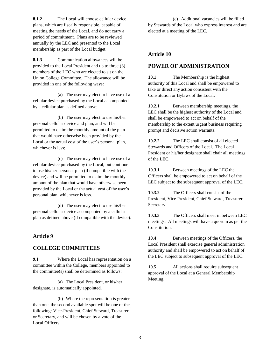**8.1.2** The Local will choose cellular device plans, which are fiscally responsible, capable of meeting the needs of the Local, and do not carry a period of commitment. Plans are to be reviewed annually by the LEC and presented to the Local membership as part of the Local budget.

**8.1.3** Communication allowances will be provided to the Local President and up to three (3) members of the LEC who are elected to sit on the Union College Committee. The allowance will be provided in one of the following ways:

(a) The user may elect to have use of a cellular device purchased by the Local accompanied by a cellular plan as defined above;

(b) The user may elect to use his/her personal cellular device and plan, and will be permitted to claim the monthly amount of the plan that would have otherwise been provided by the Local or the actual cost of the user's personal plan, whichever is less;

(c) The user may elect to have use of a cellular device purchased by the Local, but continue to use his/her personal plan (if compatible with the device) and will be permitted to claim the monthly amount of the plan that would have otherwise been provided by the Local or the actual cost of the user's personal plan, whichever is less.

(d) The user may elect to use his/her personal cellular device accompanied by a cellular plan as defined above (if compatible with the device).

## **Article 9**

## **COLLEGE COMMITTEES**

**9.1** Where the Local has representation on a committee within the College, members appointed to the committee(s) shall be determined as follows:

(a) The Local President, or his/her designate, is automatically appointed.

(b) Where the representation is greater than one, the second available spot will be one of the following: Vice-President, Chief Steward, Treasurer or Secretary, and will be chosen by a vote of the Local Officers.

(c) Additional vacancies will be filled by Stewards of the Local who express interest and are elected at a meeting of the LEC.

# **Article 10**

# **POWER OF ADMINISTRATION**

**10.1** The Membership is the highest authority of this Local and shall be empowered to take or direct any action consistent with the Constitution or Bylaws of the Local.

**10.2.1** Between membership meetings, the LEC shall be the highest authority of the Local and shall be empowered to act on behalf of the membership to the extent urgent business requiring prompt and decisive action warrants.

**10.2.2** The LEC shall consist of all elected Stewards and Officers of the Local. The Local President or his/her designate shall chair all meetings of the LEC.

**10.3.1** Between meetings of the LEC the Officers shall be empowered to act on behalf of the LEC subject to the subsequent approval of the LEC.

**10.3.2** The Officers shall consist of the President, Vice President, Chief Steward, Treasurer, Secretary.

**10.3.3** The Officers shall meet in between LEC meetings. All meetings will have a quorum as per the Constitution.

**10.4** Between meetings of the Officers, the Local President shall exercise general administration authority and shall be empowered to act on behalf of the LEC subject to subsequent approval of the LEC.

**10.5** All actions shall require subsequent approval of the Local at a General Membership Meeting.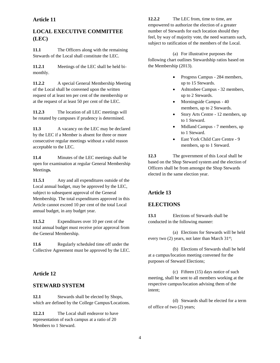# **Article 11**

# **LOCAL EXECUTIVE COMMITTEE (LEC)**

**11.1** The Officers along with the remaining Stewards of the Local shall constitute the LEC.

**11.2.1** Meetings of the LEC shall be held bimonthly.

**11.2.2** A special General Membership Meeting of the Local shall be convened upon the written request of at least ten per cent of the membership or at the request of at least 50 per cent of the LEC.

**11.2.3** The location of all LEC meetings will be rotated by campuses if prudency is determined.

11.3 A vacancy on the LEC may be declared by the LEC if a Member is absent for three or more consecutive regular meetings without a valid reason acceptable to the LEC.

**11.4** Minutes of the LEC meetings shall be open for examination at regular General Membership Meeting**s.**

**11.5.1** Any and all expenditures outside of the Local annual budget, may be approved by the LEC, subject to subsequent approval of the General Membership. The total expenditures approved in this Article cannot exceed 10 per cent of the total Local annual budget, in any budget year.

**11.5.2** Expenditures over 10 per cent of the total annual budget must receive prior approval from the General Membership.

11.6 Regularly scheduled time off under the Collective Agreement must be approved by the LEC.

# **Article 12**

## **STEWARD SYSTEM**

**12.1** Stewards shall be elected by Shops, which are defined by the College Campus/Locations.

**12.2.1** The Local shall endeavor to have representation of each campus at a ratio of 20 Members to 1 Steward.

**12.2.2** The LEC from, time to time, are empowered to authorize the election of a greater number of Stewards for each location should they feel, by way of majority vote, the need warrants such, subject to ratification of the members of the Local.

(a) For illustrative purposes the following chart outlines Stewardship ratios based on the Membership (2013).

- Progress Campus 284 members, up to 15 Stewards.
- Ashtonbee Campus 32 members, up to 2 Stewards.
- Morningside Campus 40 members, up to 2 Stewards.
- Story Arts Centre 12 members, up to 1 Steward.
- Midland Campus 7 members, up to 1 Steward.
- East York Child Care Centre 9 members, up to 1 Steward.

**12.3** The government of this Local shall be based on the Shop Steward system and the election of Officers shall be from amongst the Shop Stewards elected in the same election year.

# **Article 13**

# **ELECTIONS**

**13.1** Elections of Stewards shall be conducted in the following manner:

(a) Elections for Stewards will be held every two  $(2)$  years, not later than March  $31<sup>st</sup>$ ;

(b) Elections of Stewards shall be held at a campus/location meeting convened for the purposes of Steward Elections;

(c) Fifteen (15) days notice of such meeting, shall be sent to all members working at the respective campus/location advising them of the intent;

(d) Stewards shall be elected for a term of office of two (2) years;